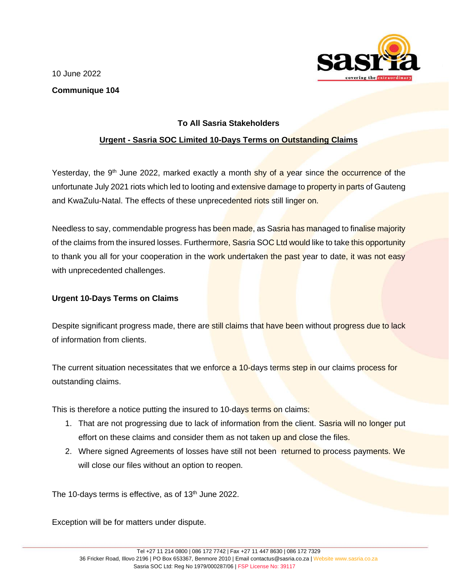10 June 2022



## **Communique 104**

## **To All Sasria Stakeholders**

## **Urgent - Sasria SOC Limited 10-Days Terms on Outstanding Claims**

Yesterday, the 9<sup>th</sup> June 2022, marked exactly a month shy of a year since the occurrence of the unfortunate July 2021 riots which led to looting and extensive damage to property in parts of Gauteng and KwaZulu-Natal. The effects of these unprecedented riots still linger on.

Needless to say, commendable progress has been made, as Sasria has managed to finalise majority of the claims from the insured losses. Furthermore, Sasria SOC Ltd would like to take this opportunity to thank you all for your cooperation in the work undertaken the past year to date, it was not easy with unprecedented challenges.

## **Urgent 10-Days Terms on Claims**

Despite significant progress made, there are still claims that have been without progress due to lack of information from clients.

The current situation necessitates that we enforce a 10-days terms step in our claims process for outstanding claims.

This is therefore a notice putting the insured to 10-days terms on claims:

- 1. That are not progressing due to lack of information from the client. Sasria will no longer put effort on these claims and consider them as not taken up and close the files.
- 2. Where signed Agreements of losses have still not been returned to process payments. We will close our files without an option to reopen.

The 10-days terms is effective, as of 13<sup>th</sup> June 2022.

Exception will be for matters under dispute.